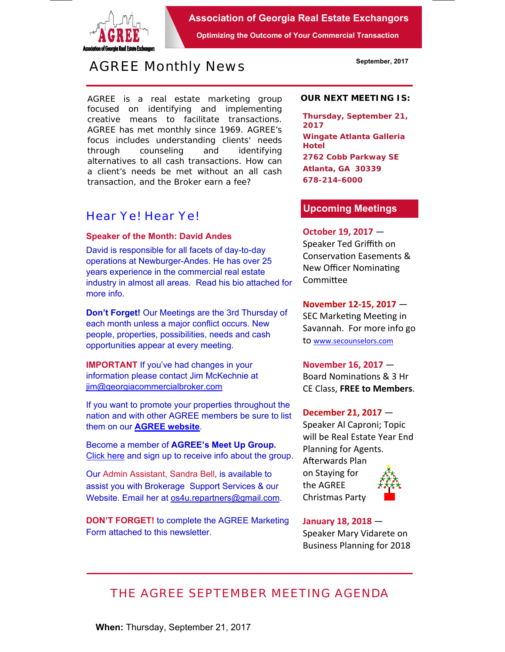

**Association of Georgia Real Estate Exchangors** 

**Optimizing the Outcome of Your Commercial Transaction** 

# *AGREE Monthly News*

AGREE is a real estate marketing group focused on identifying and implementing creative means to facilitate transactions. *AGREE has met monthly since 1969.* AGREE's focus includes understanding clients' needs through counseling and identifying alternatives to all cash transactions. How can a client's needs be met without an all cash transaction, and the Broker earn a fee?

# *Hear Ye! Hear Ye!*

### **Speaker of the Month: David Andes**

David is responsible for all facets of day-to-day operations at Newburger-Andes. He has over 25 years experience in the commercial real estate industry in almost all areas. Read his bio attached for more info.

**Don't Forget!** Our Meetings are the 3rd Thursday of each month unless a major conflict occurs. New people, properties, possibilities, needs and cash opportunities appear at every meeting.

**IMPORTANT** If you've had changes in your information please contact Jim McKechnie at iim@georgiacommercialbroker.com

If you want to promote your properties throughout the nation and with other AGREE members be sure to list them on our **AGREE website**.

Become a member of **AGREE's Meet Up Group.**  Click here and sign up to receive info about the group.

Our Admin Assistant, Sandra Bell, is available to assist you with Brokerage Support Services & our Website. Email her at os4u.repartners@gmail.com.

**DON'T FORGET!** to complete the AGREE Marketing Form attached to this newsletter.

#### **OUR NEXT MEETING IS:**

**Thursday, September 21, 2017 Wingate Atlanta Galleria Hotel 2762 Cobb Parkway SE Atlanta, GA 30339 678-214-6000** 

## **Upcoming Meetings**

## **October 19, 2017** — Speaker Ted Griffith on Conservation Easements &

New Officer NominaƟng **Committee** 

**November 12‐15, 2017** —

SEC Marketing Meeting in Savannah. For more info go to www.secounselors.com

**November 16, 2017** — Board Nominations & 3 Hr CE Class, **FREE to Members**.

#### **December 21, 2017** —

Speaker Al Caproni; Topic will be Real Estate Year End Planning for Agents. Afterwards Plan on Staying for

the AGREE Christmas Party



**January 18, 2018** — Speaker Mary Vidarete on Business Planning for 2018

# *THE AGREE SEPTEMBER MEETING AGENDA*

**September, 2017**